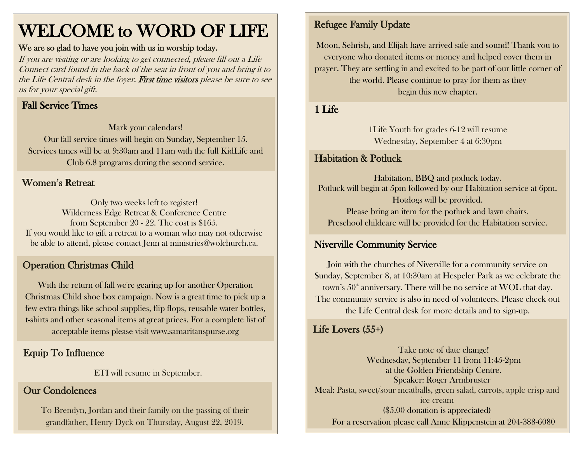## WELCOME to WORD OF LIFE

#### We are so glad to have you join with us in worship today.

If you are visiting or are looking to get connected, please fill out a Life Connect card found in the back of the seat in front of you and bring it to the Life Central desk in the foyer. First time visitors please be sure to see us for your special gift.

## Fall Service Times

Mark your calendars! Our fall service times will begin on Sunday, September 15. Services times will be at 9:30am and 11am with the full KidLife and Club 6.8 programs during the second service.

#### Women's Retreat

Only two weeks left to register! Wilderness Edge Retreat & Conference Centre from September 20 - 22. The cost is \$165. If you would like to gift a retreat to a woman who may not otherwise be able to attend, please contact Jenn at ministries@wolchurch.ca.

## Operation Christmas Child

With the return of fall we're gearing up for another Operation Christmas Child shoe box campaign. Now is a great time to pick up a few extra things like school supplies, flip flops, reusable water bottles, t-shirts and other seasonal items at great prices. For a complete list of acceptable items please visit [www.samaritanspurse.org](http://www.samaritanspurse.org/)

## Equip To Influence

ETI will resume in September.

### Our Condolences

To Brendyn, Jordan and their family on the passing of their grandfather, Henry Dyck on Thursday, August 22, 2019.

## Refugee Family Update

Moon, Sehrish, and Elijah have arrived safe and sound! Thank you to everyone who donated items or money and helped cover them in prayer. They are settling in and excited to be part of our little corner of the world. Please continue to pray for them as they begin this new chapter.

#### 1 Life

1Life Youth for grades 6-12 will resume Wednesday, September 4 at 6:30pm

## Habitation & Potluck

Habitation, BBQ and potluck today. Potluck will begin at 5pm followed by our Habitation service at 6pm. Hotdogs will be provided. Please bring an item for the potluck and lawn chairs. Preschool childcare will be provided for the Habitation service.

## Niverville Community Service

Join with the churches of Niverville for a community service on Sunday, September 8, at 10:30am at Hespeler Park as we celebrate the town's  $50<sup>th</sup>$  anniversary. There will be no service at WOL that day. The community service is also in need of volunteers. Please check out the Life Central desk for more details and to sign-up.

## Life Lovers (55+)

Take note of date change! Wednesday, September 11 from 11:45-2pm at the Golden Friendship Centre. Speaker: Roger Armbruster Meal: Pasta, sweet/sour meatballs, green salad, carrots, apple crisp and ice cream (\$5.00 donation is appreciated) For a reservation please call Anne Klippenstein at 204-388-6080